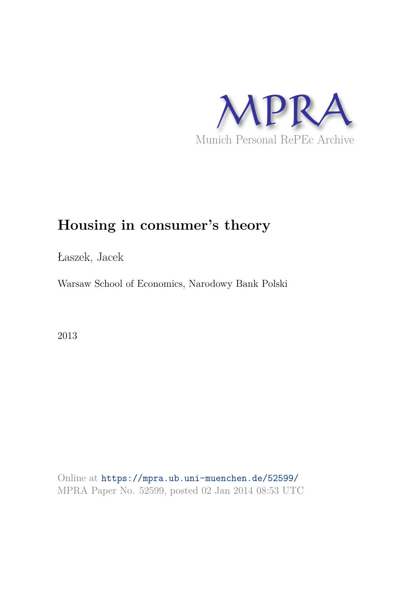

# **Housing in consumer's theory**

Łaszek, Jacek

Warsaw School of Economics, Narodowy Bank Polski

2013

Online at https://mpra.ub.uni-muenchen.de/52599/ MPRA Paper No. 52599, posted 02 Jan 2014 08:53 UTC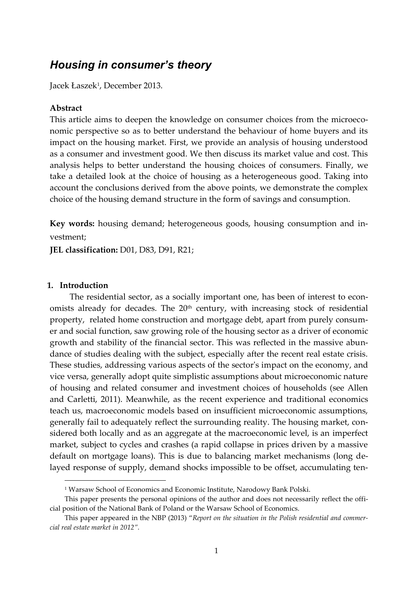## *Housing in consumer's theory*

Jacek Łaszek<sup>1</sup>, December 2013.

#### **Abstract**

This article aims to deepen the knowledge on consumer choices from the microeconomic perspective so as to better understand the behaviour of home buyers and its impact on the housing market. First, we provide an analysis of housing understood as a consumer and investment good. We then discuss its market value and cost. This analysis helps to better understand the housing choices of consumers. Finally, we take a detailed look at the choice of housing as a heterogeneous good. Taking into account the conclusions derived from the above points, we demonstrate the complex choice of the housing demand structure in the form of savings and consumption.

**Key words:** housing demand; heterogeneous goods, housing consumption and investment;

**JEL classification:** D01, D83, D91, R21;

#### **1. Introduction**

1

The residential sector, as a socially important one, has been of interest to economists already for decades. The 20<sup>th</sup> century, with increasing stock of residential property, related home construction and mortgage debt, apart from purely consumer and social function, saw growing role of the housing sector as a driver of economic growth and stability of the financial sector. This was reflected in the massive abundance of studies dealing with the subject, especially after the recent real estate crisis. These studies, addressing various aspects of the sector's impact on the economy, and vice versa, generally adopt quite simplistic assumptions about microeconomic nature of housing and related consumer and investment choices of households (see Allen and Carletti, 2011). Meanwhile, as the recent experience and traditional economics teach us, macroeconomic models based on insufficient microeconomic assumptions, generally fail to adequately reflect the surrounding reality. The housing market, considered both locally and as an aggregate at the macroeconomic level, is an imperfect market, subject to cycles and crashes (a rapid collapse in prices driven by a massive default on mortgage loans). This is due to balancing market mechanisms (long delayed response of supply, demand shocks impossible to be offset, accumulating ten-

<sup>1</sup> Warsaw School of Economics and Economic Institute, Narodowy Bank Polski.

This paper presents the personal opinions of the author and does not necessarily reflect the official position of the National Bank of Poland or the Warsaw School of Economics.

This paper appeared in the NBP (2013) "*Report on the situation in the Polish residential and commercial real estate market in 2012".*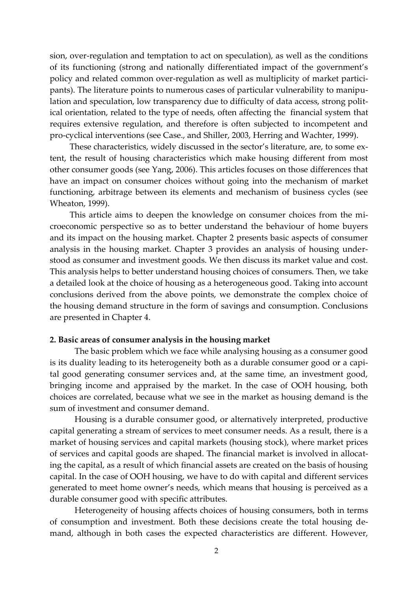sion, over-regulation and temptation to act on speculation), as well as the conditions of its functioning (strong and nationally differentiated impact of the government's policy and related common over-regulation as well as multiplicity of market participants). The literature points to numerous cases of particular vulnerability to manipulation and speculation, low transparency due to difficulty of data access, strong political orientation, related to the type of needs, often affecting the financial system that requires extensive regulation, and therefore is often subjected to incompetent and pro-cyclical interventions (see Case., and Shiller, 2003, Herring and Wachter, 1999).

These characteristics, widely discussed in the sector's literature, are, to some extent, the result of housing characteristics which make housing different from most other consumer goods (see Yang, 2006). This articles focuses on those differences that have an impact on consumer choices without going into the mechanism of market functioning, arbitrage between its elements and mechanism of business cycles (see Wheaton, 1999).

This article aims to deepen the knowledge on consumer choices from the microeconomic perspective so as to better understand the behaviour of home buyers and its impact on the housing market. Chapter 2 presents basic aspects of consumer analysis in the housing market. Chapter 3 provides an analysis of housing understood as consumer and investment goods. We then discuss its market value and cost. This analysis helps to better understand housing choices of consumers. Then, we take a detailed look at the choice of housing as a heterogeneous good. Taking into account conclusions derived from the above points, we demonstrate the complex choice of the housing demand structure in the form of savings and consumption. Conclusions are presented in Chapter 4.

#### **2. Basic areas of consumer analysis in the housing market**

The basic problem which we face while analysing housing as a consumer good is its duality leading to its heterogeneity both as a durable consumer good or a capital good generating consumer services and, at the same time, an investment good, bringing income and appraised by the market. In the case of OOH housing, both choices are correlated, because what we see in the market as housing demand is the sum of investment and consumer demand.

Housing is a durable consumer good, or alternatively interpreted, productive capital generating a stream of services to meet consumer needs. As a result, there is a market of housing services and capital markets (housing stock), where market prices of services and capital goods are shaped. The financial market is involved in allocating the capital, as a result of which financial assets are created on the basis of housing capital. In the case of OOH housing, we have to do with capital and different services generated to meet home owner's needs, which means that housing is perceived as a durable consumer good with specific attributes.

Heterogeneity of housing affects choices of housing consumers, both in terms of consumption and investment. Both these decisions create the total housing demand, although in both cases the expected characteristics are different. However,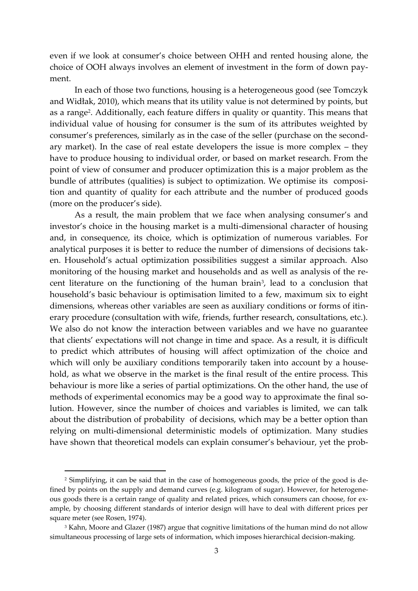even if we look at consumer's choice between OHH and rented housing alone, the choice of OOH always involves an element of investment in the form of down payment.

In each of those two functions, housing is a heterogeneous good (see Tomczyk and Widłak, 2010), which means that its utility value is not determined by points, but as a range<sup>2</sup>. Additionally, each feature differs in quality or quantity. This means that individual value of housing for consumer is the sum of its attributes weighted by consumer's preferences, similarly as in the case of the seller (purchase on the secondary market). In the case of real estate developers the issue is more complex – they have to produce housing to individual order, or based on market research. From the point of view of consumer and producer optimization this is a major problem as the bundle of attributes (qualities) is subject to optimization. We optimise its composition and quantity of quality for each attribute and the number of produced goods (more on the producer's side).

As a result, the main problem that we face when analysing consumer's and investor's choice in the housing market is a multi-dimensional character of housing and, in consequence, its choice, which is optimization of numerous variables. For analytical purposes it is better to reduce the number of dimensions of decisions taken. Household's actual optimization possibilities suggest a similar approach. Also monitoring of the housing market and households and as well as analysis of the recent literature on the functioning of the human brain<sup>3</sup>, lead to a conclusion that household's basic behaviour is optimisation limited to a few, maximum six to eight dimensions, whereas other variables are seen as auxiliary conditions or forms of itinerary procedure (consultation with wife, friends, further research, consultations, etc.). We also do not know the interaction between variables and we have no guarantee that clients' expectations will not change in time and space. As a result, it is difficult to predict which attributes of housing will affect optimization of the choice and which will only be auxiliary conditions temporarily taken into account by a household, as what we observe in the market is the final result of the entire process. This behaviour is more like a series of partial optimizations. On the other hand, the use of methods of experimental economics may be a good way to approximate the final solution. However, since the number of choices and variables is limited, we can talk about the distribution of probability of decisions, which may be a better option than relying on multi-dimensional deterministic models of optimization. Many studies have shown that theoretical models can explain consumer's behaviour, yet the prob-

 $\overline{a}$ 

<sup>2</sup> Simplifying, it can be said that in the case of homogeneous goods, the price of the good is defined by points on the supply and demand curves (e.g. kilogram of sugar). However, for heterogeneous goods there is a certain range of quality and related prices, which consumers can choose, for example, by choosing different standards of interior design will have to deal with different prices per square meter (see Rosen, 1974).

 $\rm{^3}$  Kahn, Moore and Glazer (1987) argue that cognitive limitations of the human mind do not allow simultaneous processing of large sets of information, which imposes hierarchical decision-making.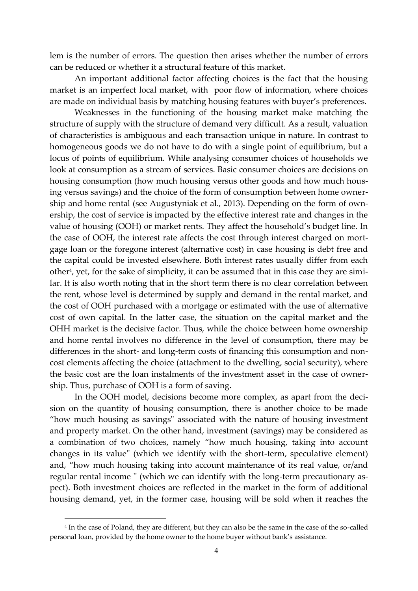lem is the number of errors. The question then arises whether the number of errors can be reduced or whether it a structural feature of this market.

An important additional factor affecting choices is the fact that the housing market is an imperfect local market, with poor flow of information, where choices are made on individual basis by matching housing features with buyer's preferences.

Weaknesses in the functioning of the housing market make matching the structure of supply with the structure of demand very difficult. As a result, valuation of characteristics is ambiguous and each transaction unique in nature. In contrast to homogeneous goods we do not have to do with a single point of equilibrium, but a locus of points of equilibrium. While analysing consumer choices of households we look at consumption as a stream of services. Basic consumer choices are decisions on housing consumption (how much housing versus other goods and how much housing versus savings) and the choice of the form of consumption between home ownership and home rental (see Augustyniak et al., 2013). Depending on the form of ownership, the cost of service is impacted by the effective interest rate and changes in the value of housing (OOH) or market rents. They affect the household's budget line. In the case of OOH, the interest rate affects the cost through interest charged on mortgage loan or the foregone interest (alternative cost) in case housing is debt free and the capital could be invested elsewhere. Both interest rates usually differ from each other<sup>4</sup>, yet, for the sake of simplicity, it can be assumed that in this case they are similar. It is also worth noting that in the short term there is no clear correlation between the rent, whose level is determined by supply and demand in the rental market, and the cost of OOH purchased with a mortgage or estimated with the use of alternative cost of own capital. In the latter case, the situation on the capital market and the OHH market is the decisive factor. Thus, while the choice between home ownership and home rental involves no difference in the level of consumption, there may be differences in the short- and long-term costs of financing this consumption and noncost elements affecting the choice (attachment to the dwelling, social security), where the basic cost are the loan instalments of the investment asset in the case of ownership. Thus, purchase of OOH is a form of saving.

In the OOH model, decisions become more complex, as apart from the decision on the quantity of housing consumption, there is another choice to be made "how much housing as savings" associated with the nature of housing investment and property market. On the other hand, investment (savings) may be considered as a combination of two choices, namely "how much housing, taking into account changes in its value'' (which we identify with the short-term, speculative element) and, "how much housing taking into account maintenance of its real value, or/and regular rental income '' (which we can identify with the long-term precautionary aspect). Both investment choices are reflected in the market in the form of additional housing demand, yet, in the former case, housing will be sold when it reaches the

 $\overline{a}$ 

<sup>4</sup> In the case of Poland, they are different, but they can also be the same in the case of the so-called personal loan, provided by the home owner to the home buyer without bank's assistance.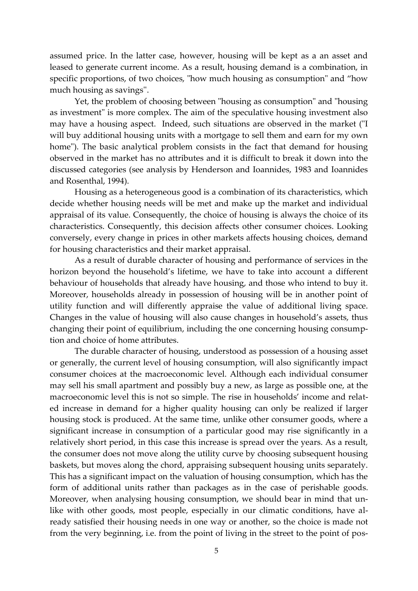assumed price. In the latter case, however, housing will be kept as a an asset and leased to generate current income. As a result, housing demand is a combination, in specific proportions, of two choices, "how much housing as consumption" and "how much housing as savings''.

Yet, the problem of choosing between "housing as consumption" and "housing as investment" is more complex. The aim of the speculative housing investment also may have a housing aspect. Indeed, such situations are observed in the market ("I will buy additional housing units with a mortgage to sell them and earn for my own home"). The basic analytical problem consists in the fact that demand for housing observed in the market has no attributes and it is difficult to break it down into the discussed categories (see analysis by Henderson and Ioannides, 1983 and Ioannides and Rosenthal, 1994).

Housing as a heterogeneous good is a combination of its characteristics, which decide whether housing needs will be met and make up the market and individual appraisal of its value. Consequently, the choice of housing is always the choice of its characteristics. Consequently, this decision affects other consumer choices. Looking conversely, every change in prices in other markets affects housing choices, demand for housing characteristics and their market appraisal.

As a result of durable character of housing and performance of services in the horizon beyond the household's lifetime, we have to take into account a different behaviour of households that already have housing, and those who intend to buy it. Moreover, households already in possession of housing will be in another point of utility function and will differently appraise the value of additional living space. Changes in the value of housing will also cause changes in household's assets, thus changing their point of equilibrium, including the one concerning housing consumption and choice of home attributes.

The durable character of housing, understood as possession of a housing asset or generally, the current level of housing consumption, will also significantly impact consumer choices at the macroeconomic level. Although each individual consumer may sell his small apartment and possibly buy a new, as large as possible one, at the macroeconomic level this is not so simple. The rise in households' income and related increase in demand for a higher quality housing can only be realized if larger housing stock is produced. At the same time, unlike other consumer goods, where a significant increase in consumption of a particular good may rise significantly in a relatively short period, in this case this increase is spread over the years. As a result, the consumer does not move along the utility curve by choosing subsequent housing baskets, but moves along the chord, appraising subsequent housing units separately. This has a significant impact on the valuation of housing consumption, which has the form of additional units rather than packages as in the case of perishable goods. Moreover, when analysing housing consumption, we should bear in mind that unlike with other goods, most people, especially in our climatic conditions, have already satisfied their housing needs in one way or another, so the choice is made not from the very beginning, i.e. from the point of living in the street to the point of pos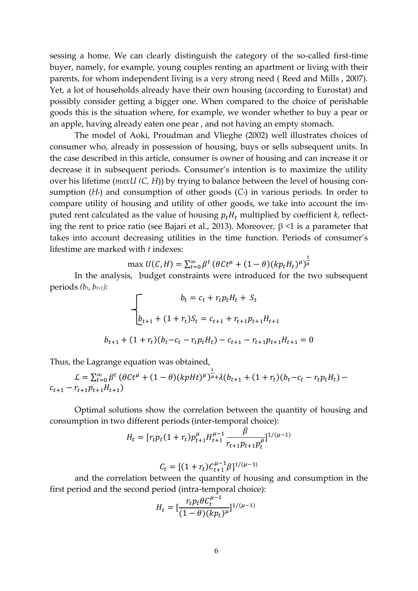sessing a home. We can clearly distinguish the category of the so-called first-time buyer, namely, for example, young couples renting an apartment or living with their parents, for whom independent living is a very strong need ( Reed and Mills , 2007). Yet, a lot of households already have their own housing (according to Eurostat) and possibly consider getting a bigger one. When compared to the choice of perishable goods this is the situation where, for example, we wonder whether to buy a pear or an apple, having already eaten one pear , and not having an empty stomach.

The model of Aoki, Proudman and Vlieghe (2002) well illustrates choices of consumer who, already in possession of housing, buys or sells subsequent units. In the case described in this article, consumer is owner of housing and can increase it or decrease it in subsequent periods. Consumer's intention is to maximize the utility over his lifetime (*maxU (C, H*)) by trying to balance between the level of housing consumption  $(H_t)$  and consumption of other goods  $(C_t)$  in various periods. In order to compare utility of housing and utility of other goods, we take into account the imputed rent calculated as the value of housing  $p_t H_t$  multiplied by coefficient  $k$ , reflecting the rent to price ratio (see Bajari et al., 2013). Moreover,  $\beta$  <1 is a parameter that takes into account decreasing utilities in the time function. Periods of consumer's lifestime are marked with *t* indexes:  $\overline{1}$ 

$$
\max U(C, H) = \sum_{t=0}^{\infty} \beta^t \left( \theta C t^{\mu} + (1 - \theta) (k p_t H_t)^{\mu} \right)^{\overline{\mu}}
$$

In the analysis, budget constraints were introduced for the two subsequent periods *(bt, bt+1):*

$$
b_t = c_t + r_t p_t H_t + S_t
$$
  

$$
b_{t+1} + (1 + r_t)S_t = c_{t+1} + r_{t+1}p_{t+1}H_{t+1}
$$
  

$$
b_{t+1} + (1 + r_t)(b_t - c_t - r_t p_t H_t) - c_{t+1} - r_{t+1}p_{t+1}H_{t+1} = 0
$$

Thus, the Lagrange equation was obtained,

$$
\mathcal{L} = \sum_{t=0}^{\infty} \beta^t \left( \theta C t^{\mu} + (1 - \theta) (k \rho H t)^{\mu} \right)^{\frac{1}{\mu}} + \lambda (b_{t+1} + (1 + r_t) (b_t - c_t - r_t p_t H_t) - c_{t+1} - r_{t+1} p_{t+1} H_{t+1})
$$

Optimal solutions show the correlation between the quantity of housing and consumption in two different periods (inter-temporal choice):

$$
H_t = [r_t p_t (1 + r_t) p_{t+1}^{\mu} H_{t+1}^{\mu-1} \frac{\beta}{r_{t+1} p_{t+1} p_t^{\mu}}]^{1/(\mu-1)}
$$

$$
C_t = [(1 + r_t)C_{t+1}^{\mu-1}\beta]^{1/(\mu-1)}
$$

and the correlation between the quantity of housing and consumption in the first period and the second period (intra-temporal choice):

$$
H_t = [\frac{r_t p_t \theta C_t^{\mu-1}}{(1-\theta)(kp_t)^{\mu}}]^{1/(\mu-1)}
$$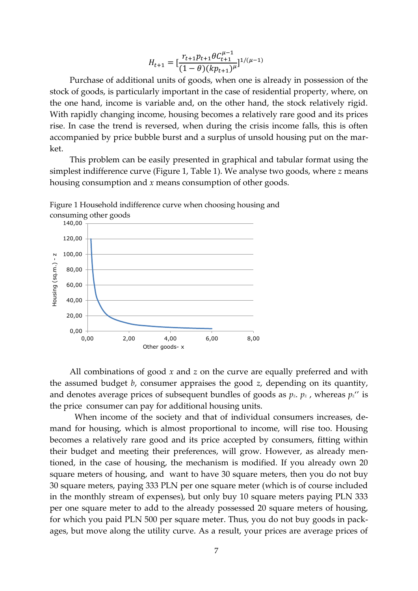$$
H_{t+1} = \left[\frac{r_{t+1}p_{t+1}\theta C_{t+1}^{\mu-1}}{(1-\theta)(kp_{t+1})^{\mu}}\right]^{1/(\mu-1)}
$$

Purchase of additional units of goods, when one is already in possession of the stock of goods, is particularly important in the case of residential property, where, on the one hand, income is variable and, on the other hand, the stock relatively rigid. With rapidly changing income, housing becomes a relatively rare good and its prices rise. In case the trend is reversed, when during the crisis income falls, this is often accompanied by price bubble burst and a surplus of unsold housing put on the market.

This problem can be easily presented in graphical and tabular format using the simplest indifference curve (Figure 1, Table 1). We analyse two goods, where *z* means housing consumption and *x* means consumption of other goods.



Figure 1 Household indifference curve when choosing housing and

All combinations of good *x* and *z* on the curve are equally preferred and with the assumed budget *b*, consumer appraises the good *z*, depending on its quantity, and denotes average prices of subsequent bundles of goods as  $p_z$ ,  $p_z$ , whereas  $p_z$ " is the price consumer can pay for additional housing units.

When income of the society and that of individual consumers increases, demand for housing, which is almost proportional to income, will rise too. Housing becomes a relatively rare good and its price accepted by consumers, fitting within their budget and meeting their preferences, will grow. However, as already mentioned, in the case of housing, the mechanism is modified. If you already own 20 square meters of housing, and want to have 30 square meters, then you do not buy 30 square meters, paying 333 PLN per one square meter (which is of course included in the monthly stream of expenses), but only buy 10 square meters paying PLN 333 per one square meter to add to the already possessed 20 square meters of housing, for which you paid PLN 500 per square meter. Thus, you do not buy goods in packages, but move along the utility curve. As a result, your prices are average prices of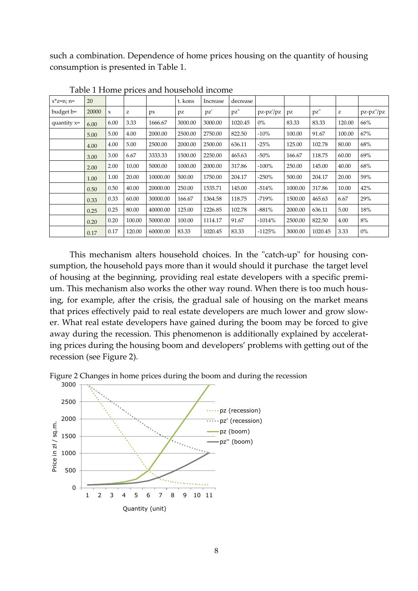such a combination. Dependence of home prices housing on the quantity of housing consumption is presented in Table 1.

| $x^*z=n; n=$  | 20    |             |        |          | t. kons | Increase | decrease |           |         |         |        |           |
|---------------|-------|-------------|--------|----------|---------|----------|----------|-----------|---------|---------|--------|-----------|
| budget b=     | 20000 | $\mathbf x$ | z      | px       | pz      | pz'      | pz"      | pz-pz'/pz | pz      | pz"     | z      | pz-pz"/pz |
| quantity $x=$ | 6.00  | 6.00        | 3.33   | 1666.67  | 3000.00 | 3000.00  | 1020.45  | $0\%$     | 83.33   | 83.33   | 120.00 | 66%       |
|               | 5.00  | 5.00        | 4.00   | 2000.00  | 2500.00 | 2750.00  | 822.50   | $-10%$    | 100.00  | 91.67   | 100.00 | 67%       |
|               | 4.00  | 4.00        | 5.00   | 2500.00  | 2000.00 | 2500.00  | 636.11   | $-25%$    | 125.00  | 102.78  | 80.00  | 68%       |
|               | 3.00  | 3.00        | 6.67   | 3333.33  | 1500.00 | 2250.00  | 465.63   | $-50\%$   | 166.67  | 118.75  | 60.00  | 69%       |
|               | 2.00  | 2.00        | 10.00  | 5000.00  | 1000.00 | 2000.00  | 317.86   | $-100\%$  | 250.00  | 145.00  | 40.00  | 68%       |
|               | 1.00  | 1.00        | 20.00  | 10000.00 | 500.00  | 1750.00  | 204.17   | $-250%$   | 500.00  | 204.17  | 20.00  | 59%       |
|               | 0.50  | 0.50        | 40.00  | 20000.00 | 250.00  | 1535.71  | 145.00   | $-514%$   | 1000.00 | 317.86  | 10.00  | 42%       |
|               | 0.33  | 0.33        | 60.00  | 30000.00 | 166.67  | 1364.58  | 118.75   | $-719%$   | 1500.00 | 465.63  | 6.67   | 29%       |
|               | 0.25  | 0.25        | 80.00  | 40000.00 | 125.00  | 1226.85  | 102.78   | $-881%$   | 2000.00 | 636.11  | 5.00   | 18%       |
|               | 0.20  | 0.20        | 100.00 | 50000.00 | 100.00  | 1114.17  | 91.67    | $-1014%$  | 2500.00 | 822.50  | 4.00   | 8%        |
|               | 0.17  | 0.17        | 120.00 | 60000.00 | 83.33   | 1020.45  | 83.33    | $-1125%$  | 3000.00 | 1020.45 | 3.33   | $0\%$     |

Table 1 Home prices and household income

This mechanism alters household choices. In the "catch-up" for housing consumption, the household pays more than it would should it purchase the target level of housing at the beginning, providing real estate developers with a specific premium. This mechanism also works the other way round. When there is too much housing, for example, after the crisis, the gradual sale of housing on the market means that prices effectively paid to real estate developers are much lower and grow slower. What real estate developers have gained during the boom may be forced to give away during the recession. This phenomenon is additionally explained by accelerating prices during the housing boom and developers' problems with getting out of the recession (see Figure 2).

Figure 2 Changes in home prices during the boom and during the recession

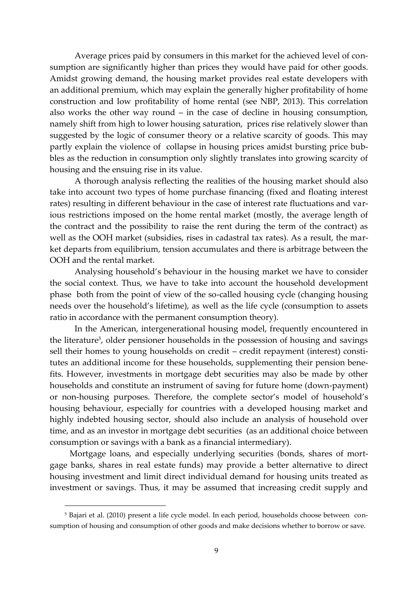Average prices paid by consumers in this market for the achieved level of consumption are significantly higher than prices they would have paid for other goods. Amidst growing demand, the housing market provides real estate developers with an additional premium, which may explain the generally higher profitability of home construction and low profitability of home rental (see NBP, 2013). This correlation also works the other way round – in the case of decline in housing consumption, namely shift from high to lower housing saturation, prices rise relatively slower than suggested by the logic of consumer theory or a relative scarcity of goods. This may partly explain the violence of collapse in housing prices amidst bursting price bubbles as the reduction in consumption only slightly translates into growing scarcity of housing and the ensuing rise in its value.

A thorough analysis reflecting the realities of the housing market should also take into account two types of home purchase financing (fixed and floating interest rates) resulting in different behaviour in the case of interest rate fluctuations and various restrictions imposed on the home rental market (mostly, the average length of the contract and the possibility to raise the rent during the term of the contract) as well as the OOH market (subsidies, rises in cadastral tax rates). As a result, the market departs from equilibrium, tension accumulates and there is arbitrage between the OOH and the rental market.

Analysing household's behaviour in the housing market we have to consider the social context. Thus, we have to take into account the household development phase both from the point of view of the so-called housing cycle (changing housing needs over the household's lifetime), as well as the life cycle (consumption to assets ratio in accordance with the permanent consumption theory).

In the American, intergenerational housing model, frequently encountered in the literature<sup>5</sup>, older pensioner households in the possession of housing and savings sell their homes to young households on credit – credit repayment (interest) constitutes an additional income for these households, supplementing their pension benefits. However, investments in mortgage debt securities may also be made by other households and constitute an instrument of saving for future home (down-payment) or non-housing purposes. Therefore, the complete sector's model of household's housing behaviour, especially for countries with a developed housing market and highly indebted housing sector, should also include an analysis of household over time, and as an investor in mortgage debt securities (as an additional choice between consumption or savings with a bank as a financial intermediary).

Mortgage loans, and especially underlying securities (bonds, shares of mortgage banks, shares in real estate funds) may provide a better alternative to direct housing investment and limit direct individual demand for housing units treated as investment or savings. Thus, it may be assumed that increasing credit supply and

1

<sup>5</sup> Bajari et al. (2010) present a life cycle model. In each period, households choose between consumption of housing and consumption of other goods and make decisions whether to borrow or save.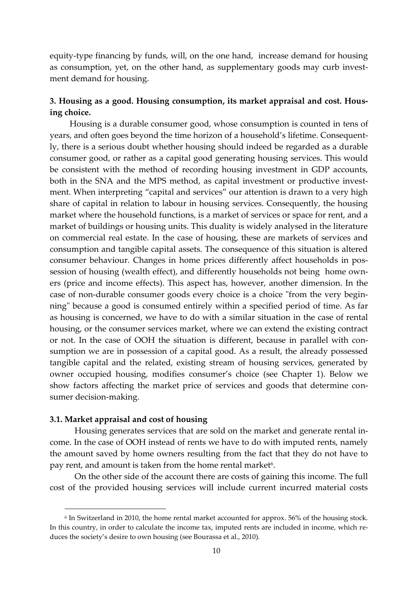equity-type financing by funds, will, on the one hand, increase demand for housing as consumption, yet, on the other hand, as supplementary goods may curb investment demand for housing.

### **3. Housing as a good. Housing consumption, its market appraisal and cost. Housing choice.**

Housing is a durable consumer good, whose consumption is counted in tens of years, and often goes beyond the time horizon of a household's lifetime. Consequently, there is a serious doubt whether housing should indeed be regarded as a durable consumer good, or rather as a capital good generating housing services. This would be consistent with the method of recording housing investment in GDP accounts, both in the SNA and the MPS method, as capital investment or productive investment. When interpreting "capital and services" our attention is drawn to a very high share of capital in relation to labour in housing services. Consequently, the housing market where the household functions, is a market of services or space for rent, and a market of buildings or housing units. This duality is widely analysed in the literature on commercial real estate. In the case of housing, these are markets of services and consumption and tangible capital assets. The consequence of this situation is altered consumer behaviour. Changes in home prices differently affect households in possession of housing (wealth effect), and differently households not being home owners (price and income effects). This aspect has, however, another dimension. In the case of non-durable consumer goods every choice is a choice "from the very beginning" because a good is consumed entirely within a specified period of time. As far as housing is concerned, we have to do with a similar situation in the case of rental housing, or the consumer services market, where we can extend the existing contract or not. In the case of OOH the situation is different, because in parallel with consumption we are in possession of a capital good. As a result, the already possessed tangible capital and the related, existing stream of housing services, generated by owner occupied housing, modifies consumer's choice (see Chapter 1). Below we show factors affecting the market price of services and goods that determine consumer decision-making.

#### **3.1. Market appraisal and cost of housing**

1

Housing generates services that are sold on the market and generate rental income. In the case of OOH instead of rents we have to do with imputed rents, namely the amount saved by home owners resulting from the fact that they do not have to pay rent, and amount is taken from the home rental market<sup>6</sup>.

On the other side of the account there are costs of gaining this income. The full cost of the provided housing services will include current incurred material costs

<sup>6</sup> In Switzerland in 2010, the home rental market accounted for approx. 56% of the housing stock. In this country, in order to calculate the income tax, imputed rents are included in income, which reduces the society's desire to own housing (see Bourassa et al., 2010).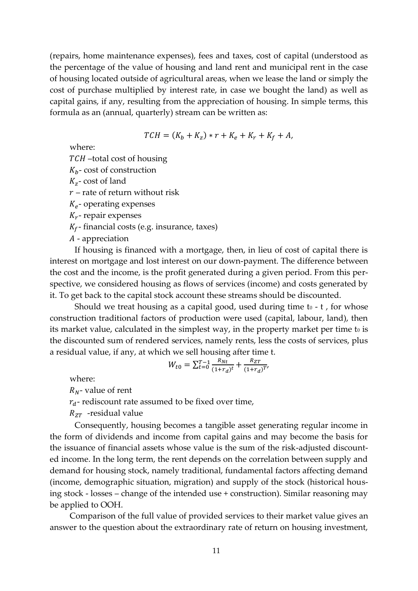(repairs, home maintenance expenses), fees and taxes, cost of capital (understood as the percentage of the value of housing and land rent and municipal rent in the case of housing located outside of agricultural areas, when we lease the land or simply the cost of purchase multiplied by interest rate, in case we bought the land) as well as capital gains, if any, resulting from the appreciation of housing. In simple terms, this formula as an (annual, quarterly) stream can be written as:

$$
TCH = (K_b + K_z) * r + K_e + K_r + K_f + A,
$$

where:

–total cost of housing

 $K_b$ - cost of construction

 $K_{z}$ - cost of land

 $r$  – rate of return without risk

 $K_e$ - operating expenses

 $K_r$ - repair expenses

 $K_f$ - financial costs (e.g. insurance, taxes)

- appreciation

If housing is financed with a mortgage, then, in lieu of cost of capital there is interest on mortgage and lost interest on our down-payment. The difference between the cost and the income, is the profit generated during a given period. From this perspective, we considered housing as flows of services (income) and costs generated by it. To get back to the capital stock account these streams should be discounted.

Should we treat housing as a capital good, used during time  $t_0$  -  $t$ , for whose construction traditional factors of production were used (capital, labour, land), then its market value, calculated in the simplest way, in the property market per time to is the discounted sum of rendered services, namely rents, less the costs of services, plus a residual value, if any, at which we sell housing after time t.

$$
W_{t0} = \sum_{t=0}^{T-1} \frac{R_{Nt}}{(1+r_d)^t} + \frac{R_{ZT}}{(1+r_d)^{T'}}
$$

where:

 $R_N$ - value of rent

 $r_d$ - rediscount rate assumed to be fixed over time,

 $R_{ZT}$  -residual value

Consequently, housing becomes a tangible asset generating regular income in the form of dividends and income from capital gains and may become the basis for the issuance of financial assets whose value is the sum of the risk-adjusted discounted income. In the long term, the rent depends on the correlation between supply and demand for housing stock, namely traditional, fundamental factors affecting demand (income, demographic situation, migration) and supply of the stock (historical housing stock - losses – change of the intended use + construction). Similar reasoning may be applied to OOH.

Comparison of the full value of provided services to their market value gives an answer to the question about the extraordinary rate of return on housing investment,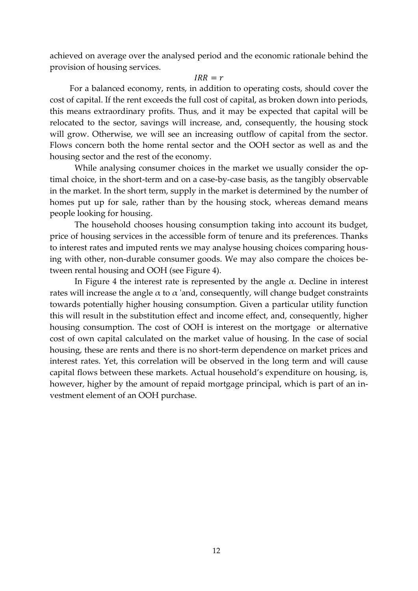achieved on average over the analysed period and the economic rationale behind the provision of housing services.

#### $IRR = r$

For a balanced economy, rents, in addition to operating costs, should cover the cost of capital. If the rent exceeds the full cost of capital, as broken down into periods, this means extraordinary profits. Thus, and it may be expected that capital will be relocated to the sector, savings will increase, and, consequently, the housing stock will grow. Otherwise, we will see an increasing outflow of capital from the sector. Flows concern both the home rental sector and the OOH sector as well as and the housing sector and the rest of the economy.

While analysing consumer choices in the market we usually consider the optimal choice, in the short-term and on a case-by-case basis, as the tangibly observable in the market. In the short term, supply in the market is determined by the number of homes put up for sale, rather than by the housing stock, whereas demand means people looking for housing.

The household chooses housing consumption taking into account its budget, price of housing services in the accessible form of tenure and its preferences. Thanks to interest rates and imputed rents we may analyse housing choices comparing housing with other, non-durable consumer goods. We may also compare the choices between rental housing and OOH (see Figure 4).

In Figure 4 the interest rate is represented by the angle  $\alpha$ . Decline in interest rates will increase the angle  $\alpha$  to  $\alpha$  'and, consequently, will change budget constraints towards potentially higher housing consumption. Given a particular utility function this will result in the substitution effect and income effect, and, consequently, higher housing consumption. The cost of OOH is interest on the mortgage or alternative cost of own capital calculated on the market value of housing. In the case of social housing, these are rents and there is no short-term dependence on market prices and interest rates. Yet, this correlation will be observed in the long term and will cause capital flows between these markets. Actual household's expenditure on housing, is, however, higher by the amount of repaid mortgage principal, which is part of an investment element of an OOH purchase.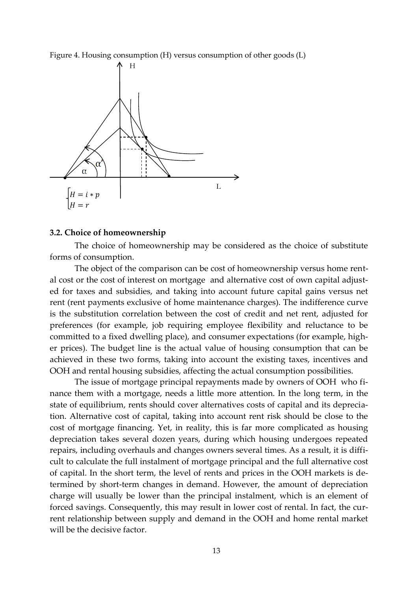Figure 4. Housing consumption (H) versus consumption of other goods (L)



#### **3.2. Choice of homeownership**

The choice of homeownership may be considered as the choice of substitute forms of consumption.

The object of the comparison can be cost of homeownership versus home rental cost or the cost of interest on mortgage and alternative cost of own capital adjusted for taxes and subsidies, and taking into account future capital gains versus net rent (rent payments exclusive of home maintenance charges). The indifference curve is the substitution correlation between the cost of credit and net rent, adjusted for preferences (for example, job requiring employee flexibility and reluctance to be committed to a fixed dwelling place), and consumer expectations (for example, higher prices). The budget line is the actual value of housing consumption that can be achieved in these two forms, taking into account the existing taxes, incentives and OOH and rental housing subsidies, affecting the actual consumption possibilities.

The issue of mortgage principal repayments made by owners of OOH who finance them with a mortgage, needs a little more attention. In the long term, in the state of equilibrium, rents should cover alternatives costs of capital and its depreciation. Alternative cost of capital, taking into account rent risk should be close to the cost of mortgage financing. Yet, in reality, this is far more complicated as housing depreciation takes several dozen years, during which housing undergoes repeated repairs, including overhauls and changes owners several times. As a result, it is difficult to calculate the full instalment of mortgage principal and the full alternative cost of capital. In the short term, the level of rents and prices in the OOH markets is determined by short-term changes in demand. However, the amount of depreciation charge will usually be lower than the principal instalment, which is an element of forced savings. Consequently, this may result in lower cost of rental. In fact, the current relationship between supply and demand in the OOH and home rental market will be the decisive factor.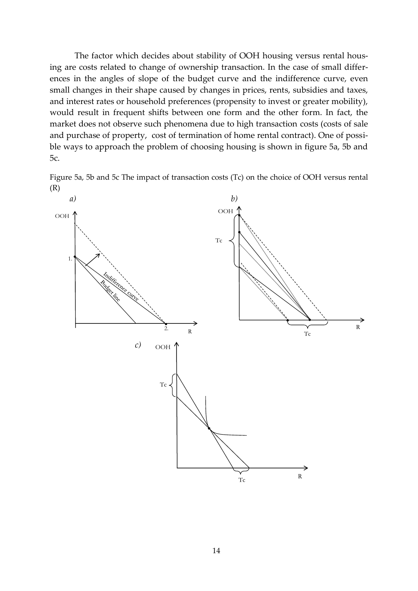The factor which decides about stability of OOH housing versus rental housing are costs related to change of ownership transaction. In the case of small differences in the angles of slope of the budget curve and the indifference curve, even small changes in their shape caused by changes in prices, rents, subsidies and taxes, and interest rates or household preferences (propensity to invest or greater mobility), would result in frequent shifts between one form and the other form. In fact, the market does not observe such phenomena due to high transaction costs (costs of sale and purchase of property, cost of termination of home rental contract). One of possible ways to approach the problem of choosing housing is shown in figure 5a, 5b and 5c.

Figure 5a, 5b and 5c The impact of transaction costs (Tc) on the choice of OOH versus rental (R)

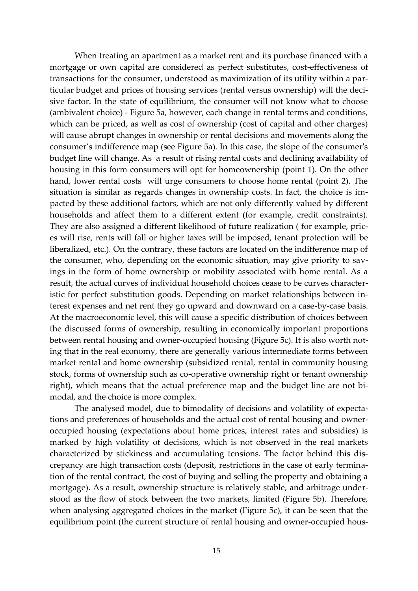When treating an apartment as a market rent and its purchase financed with a mortgage or own capital are considered as perfect substitutes, cost-effectiveness of transactions for the consumer, understood as maximization of its utility within a particular budget and prices of housing services (rental versus ownership) will the decisive factor. In the state of equilibrium, the consumer will not know what to choose (ambivalent choice) - Figure 5a, however, each change in rental terms and conditions, which can be priced, as well as cost of ownership (cost of capital and other charges) will cause abrupt changes in ownership or rental decisions and movements along the consumer's indifference map (see Figure 5a). In this case, the slope of the consumer's budget line will change. As a result of rising rental costs and declining availability of housing in this form consumers will opt for homeownership (point 1). On the other hand, lower rental costs will urge consumers to choose home rental (point 2). The situation is similar as regards changes in ownership costs. In fact, the choice is impacted by these additional factors, which are not only differently valued by different households and affect them to a different extent (for example, credit constraints). They are also assigned a different likelihood of future realization ( for example, prices will rise, rents will fall or higher taxes will be imposed, tenant protection will be liberalized, etc.). On the contrary, these factors are located on the indifference map of the consumer, who, depending on the economic situation, may give priority to savings in the form of home ownership or mobility associated with home rental. As a result, the actual curves of individual household choices cease to be curves characteristic for perfect substitution goods. Depending on market relationships between interest expenses and net rent they go upward and downward on a case-by-case basis. At the macroeconomic level, this will cause a specific distribution of choices between the discussed forms of ownership, resulting in economically important proportions between rental housing and owner-occupied housing (Figure 5c). It is also worth noting that in the real economy, there are generally various intermediate forms between market rental and home ownership (subsidized rental, rental in community housing stock, forms of ownership such as co-operative ownership right or tenant ownership right), which means that the actual preference map and the budget line are not bimodal, and the choice is more complex.

The analysed model, due to bimodality of decisions and volatility of expectations and preferences of households and the actual cost of rental housing and owneroccupied housing (expectations about home prices, interest rates and subsidies) is marked by high volatility of decisions, which is not observed in the real markets characterized by stickiness and accumulating tensions. The factor behind this discrepancy are high transaction costs (deposit, restrictions in the case of early termination of the rental contract, the cost of buying and selling the property and obtaining a mortgage). As a result, ownership structure is relatively stable, and arbitrage understood as the flow of stock between the two markets, limited (Figure 5b). Therefore, when analysing aggregated choices in the market (Figure 5c), it can be seen that the equilibrium point (the current structure of rental housing and owner-occupied hous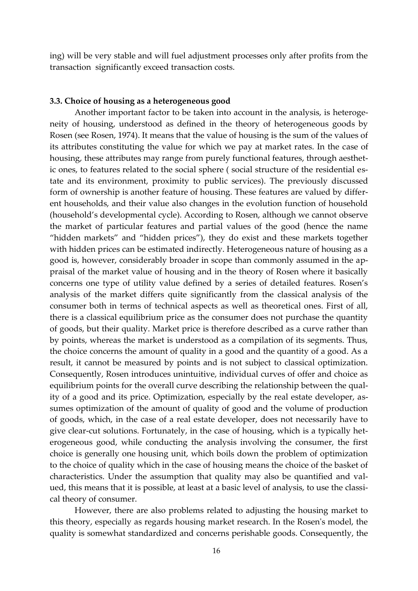ing) will be very stable and will fuel adjustment processes only after profits from the transaction significantly exceed transaction costs.

#### **3.3. Choice of housing as a heterogeneous good**

Another important factor to be taken into account in the analysis, is heterogeneity of housing, understood as defined in the theory of heterogeneous goods by Rosen (see Rosen, 1974). It means that the value of housing is the sum of the values of its attributes constituting the value for which we pay at market rates. In the case of housing, these attributes may range from purely functional features, through aesthetic ones, to features related to the social sphere ( social structure of the residential estate and its environment, proximity to public services). The previously discussed form of ownership is another feature of housing. These features are valued by different households, and their value also changes in the evolution function of household (household's developmental cycle). According to Rosen, although we cannot observe the market of particular features and partial values of the good (hence the name "hidden markets" and "hidden prices"), they do exist and these markets together with hidden prices can be estimated indirectly. Heterogeneous nature of housing as a good is, however, considerably broader in scope than commonly assumed in the appraisal of the market value of housing and in the theory of Rosen where it basically concerns one type of utility value defined by a series of detailed features. Rosen's analysis of the market differs quite significantly from the classical analysis of the consumer both in terms of technical aspects as well as theoretical ones. First of all, there is a classical equilibrium price as the consumer does not purchase the quantity of goods, but their quality. Market price is therefore described as a curve rather than by points, whereas the market is understood as a compilation of its segments. Thus, the choice concerns the amount of quality in a good and the quantity of a good. As a result, it cannot be measured by points and is not subject to classical optimization. Consequently, Rosen introduces unintuitive, individual curves of offer and choice as equilibrium points for the overall curve describing the relationship between the quality of a good and its price. Optimization, especially by the real estate developer, assumes optimization of the amount of quality of good and the volume of production of goods, which, in the case of a real estate developer, does not necessarily have to give clear-cut solutions. Fortunately, in the case of housing, which is a typically heterogeneous good, while conducting the analysis involving the consumer, the first choice is generally one housing unit, which boils down the problem of optimization to the choice of quality which in the case of housing means the choice of the basket of characteristics. Under the assumption that quality may also be quantified and valued, this means that it is possible, at least at a basic level of analysis, to use the classical theory of consumer.

However, there are also problems related to adjusting the housing market to this theory, especially as regards housing market research. In the Rosen's model, the quality is somewhat standardized and concerns perishable goods. Consequently, the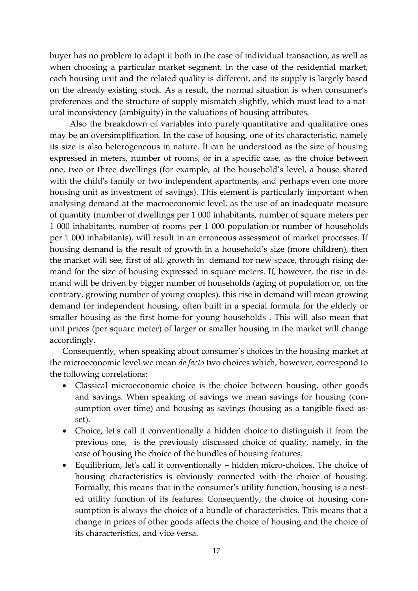buyer has no problem to adapt it both in the case of individual transaction, as well as when choosing a particular market segment. In the case of the residential market, each housing unit and the related quality is different, and its supply is largely based on the already existing stock. As a result, the normal situation is when consumer's preferences and the structure of supply mismatch slightly, which must lead to a natural inconsistency (ambiguity) in the valuations of housing attributes.

Also the breakdown of variables into purely quantitative and qualitative ones may be an oversimplification. In the case of housing, one of its characteristic, namely its size is also heterogeneous in nature. It can be understood as the size of housing expressed in meters, number of rooms, or in a specific case, as the choice between one, two or three dwellings (for example, at the household's level, a house shared with the child's family or two independent apartments, and perhaps even one more housing unit as investment of savings). This element is particularly important when analysing demand at the macroeconomic level, as the use of an inadequate measure of quantity (number of dwellings per 1 000 inhabitants, number of square meters per 1 000 inhabitants, number of rooms per 1 000 population or number of households per 1 000 inhabitants), will result in an erroneous assessment of market processes. If housing demand is the result of growth in a household's size (more children), then the market will see, first of all, growth in demand for new space, through rising demand for the size of housing expressed in square meters. If, however, the rise in demand will be driven by bigger number of households (aging of population or, on the contrary, growing number of young couples), this rise in demand will mean growing demand for independent housing, often built in a special formula for the elderly or smaller housing as the first home for young households . This will also mean that unit prices (per square meter) of larger or smaller housing in the market will change accordingly.

Consequently, when speaking about consumer's choices in the housing market at the microeconomic level we mean *de facto* two choices which, however, correspond to the following correlations:

- Classical microeconomic choice is the choice between housing, other goods and savings. When speaking of savings we mean savings for housing (consumption over time) and housing as savings (housing as a tangible fixed asset).
- Choice, let's call it conventionally a hidden choice to distinguish it from the previous one, is the previously discussed choice of quality, namely, in the case of housing the choice of the bundles of housing features.
- Equilibrium, let's call it conventionally hidden micro-choices. The choice of housing characteristics is obviously connected with the choice of housing. Formally, this means that in the consumer's utility function, housing is a nested utility function of its features. Consequently, the choice of housing consumption is always the choice of a bundle of characteristics. This means that a change in prices of other goods affects the choice of housing and the choice of its characteristics, and vice versa.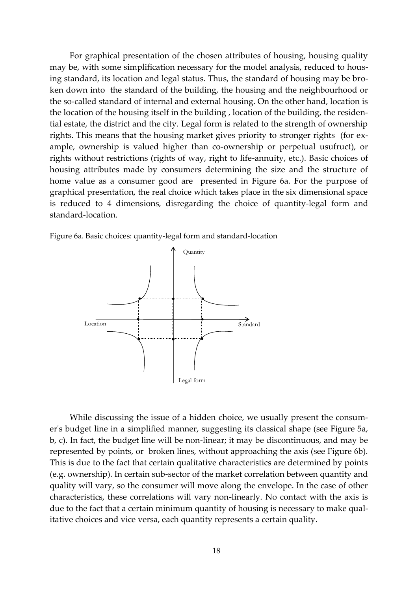For graphical presentation of the chosen attributes of housing, housing quality may be, with some simplification necessary for the model analysis, reduced to housing standard, its location and legal status. Thus, the standard of housing may be broken down into the standard of the building, the housing and the neighbourhood or the so-called standard of internal and external housing. On the other hand, location is the location of the housing itself in the building , location of the building, the residential estate, the district and the city. Legal form is related to the strength of ownership rights. This means that the housing market gives priority to stronger rights (for example, ownership is valued higher than co-ownership or perpetual usufruct), or rights without restrictions (rights of way, right to life-annuity, etc.). Basic choices of housing attributes made by consumers determining the size and the structure of home value as a consumer good are presented in Figure 6a. For the purpose of graphical presentation, the real choice which takes place in the six dimensional space is reduced to 4 dimensions, disregarding the choice of quantity-legal form and standard-location.

Figure 6a. Basic choices: quantity-legal form and standard-location



While discussing the issue of a hidden choice, we usually present the consumer's budget line in a simplified manner, suggesting its classical shape (see Figure 5a, b, c). In fact, the budget line will be non-linear; it may be discontinuous, and may be represented by points, or broken lines, without approaching the axis (see Figure 6b). This is due to the fact that certain qualitative characteristics are determined by points (e.g. ownership). In certain sub-sector of the market correlation between quantity and quality will vary, so the consumer will move along the envelope. In the case of other characteristics, these correlations will vary non-linearly. No contact with the axis is due to the fact that a certain minimum quantity of housing is necessary to make qualitative choices and vice versa, each quantity represents a certain quality.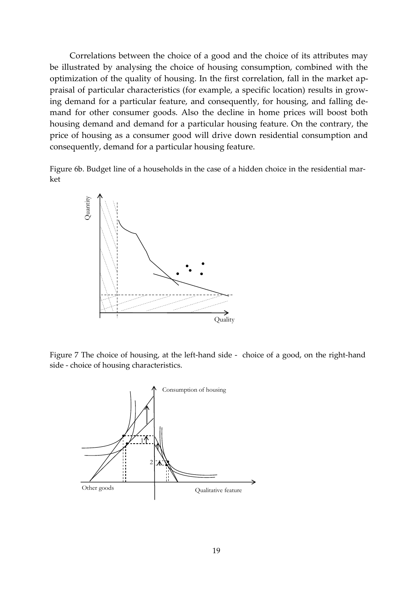Correlations between the choice of a good and the choice of its attributes may be illustrated by analysing the choice of housing consumption, combined with the optimization of the quality of housing. In the first correlation, fall in the market appraisal of particular characteristics (for example, a specific location) results in growing demand for a particular feature, and consequently, for housing, and falling demand for other consumer goods. Also the decline in home prices will boost both housing demand and demand for a particular housing feature. On the contrary, the price of housing as a consumer good will drive down residential consumption and consequently, demand for a particular housing feature.

Figure 6b. Budget line of a households in the case of a hidden choice in the residential market



Figure 7 The choice of housing, at the left-hand side - choice of a good, on the right-hand

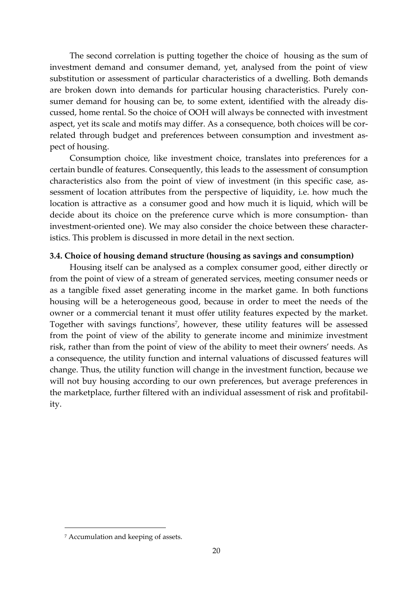The second correlation is putting together the choice of housing as the sum of investment demand and consumer demand, yet, analysed from the point of view substitution or assessment of particular characteristics of a dwelling. Both demands are broken down into demands for particular housing characteristics. Purely consumer demand for housing can be, to some extent, identified with the already discussed, home rental. So the choice of OOH will always be connected with investment aspect, yet its scale and motifs may differ. As a consequence, both choices will be correlated through budget and preferences between consumption and investment aspect of housing.

Consumption choice, like investment choice, translates into preferences for a certain bundle of features. Consequently, this leads to the assessment of consumption characteristics also from the point of view of investment (in this specific case, assessment of location attributes from the perspective of liquidity, i.e. how much the location is attractive as a consumer good and how much it is liquid, which will be decide about its choice on the preference curve which is more consumption- than investment-oriented one). We may also consider the choice between these characteristics. This problem is discussed in more detail in the next section.

#### **3.4. Choice of housing demand structure (housing as savings and consumption)**

Housing itself can be analysed as a complex consumer good, either directly or from the point of view of a stream of generated services, meeting consumer needs or as a tangible fixed asset generating income in the market game. In both functions housing will be a heterogeneous good, because in order to meet the needs of the owner or a commercial tenant it must offer utility features expected by the market. Together with savings functions<sup>7</sup> , however, these utility features will be assessed from the point of view of the ability to generate income and minimize investment risk, rather than from the point of view of the ability to meet their owners' needs. As a consequence, the utility function and internal valuations of discussed features will change. Thus, the utility function will change in the investment function, because we will not buy housing according to our own preferences, but average preferences in the marketplace, further filtered with an individual assessment of risk and profitability.

1

<sup>7</sup> Accumulation and keeping of assets.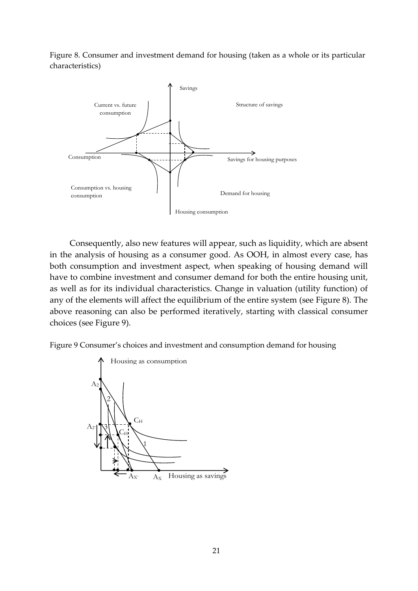Figure 8. Consumer and investment demand for housing (taken as a whole or its particular characteristics)



Consequently, also new features will appear, such as liquidity, which are absent in the analysis of housing as a consumer good. As OOH, in almost every case, has both consumption and investment aspect, when speaking of housing demand will have to combine investment and consumer demand for both the entire housing unit, as well as for its individual characteristics. Change in valuation (utility function) of any of the elements will affect the equilibrium of the entire system (see Figure 8). The above reasoning can also be performed iteratively, starting with classical consumer choices (see Figure 9).

Figure 9 Consumer's choices and investment and consumption demand for housing

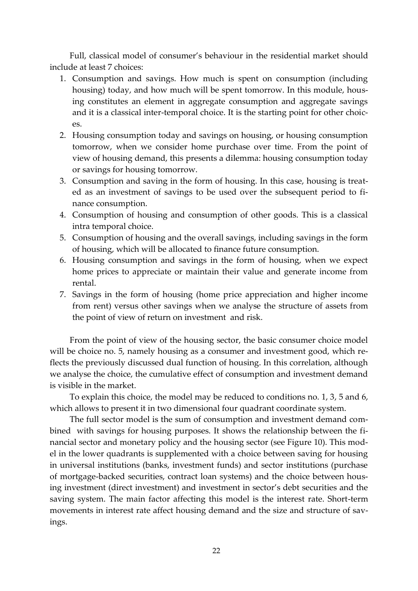Full, classical model of consumer's behaviour in the residential market should include at least 7 choices:

- 1. Consumption and savings. How much is spent on consumption (including housing) today, and how much will be spent tomorrow. In this module, housing constitutes an element in aggregate consumption and aggregate savings and it is a classical inter-temporal choice. It is the starting point for other choices.
- 2. Housing consumption today and savings on housing, or housing consumption tomorrow, when we consider home purchase over time. From the point of view of housing demand, this presents a dilemma: housing consumption today or savings for housing tomorrow.
- 3. Consumption and saving in the form of housing. In this case, housing is treated as an investment of savings to be used over the subsequent period to finance consumption.
- 4. Consumption of housing and consumption of other goods. This is a classical intra temporal choice.
- 5. Consumption of housing and the overall savings, including savings in the form of housing, which will be allocated to finance future consumption.
- 6. Housing consumption and savings in the form of housing, when we expect home prices to appreciate or maintain their value and generate income from rental.
- 7. Savings in the form of housing (home price appreciation and higher income from rent) versus other savings when we analyse the structure of assets from the point of view of return on investment and risk.

From the point of view of the housing sector, the basic consumer choice model will be choice no. 5, namely housing as a consumer and investment good, which reflects the previously discussed dual function of housing. In this correlation, although we analyse the choice, the cumulative effect of consumption and investment demand is visible in the market.

To explain this choice, the model may be reduced to conditions no. 1, 3, 5 and 6, which allows to present it in two dimensional four quadrant coordinate system.

The full sector model is the sum of consumption and investment demand combined with savings for housing purposes. It shows the relationship between the financial sector and monetary policy and the housing sector (see Figure 10). This model in the lower quadrants is supplemented with a choice between saving for housing in universal institutions (banks, investment funds) and sector institutions (purchase of mortgage-backed securities, contract loan systems) and the choice between housing investment (direct investment) and investment in sector's debt securities and the saving system. The main factor affecting this model is the interest rate. Short-term movements in interest rate affect housing demand and the size and structure of savings.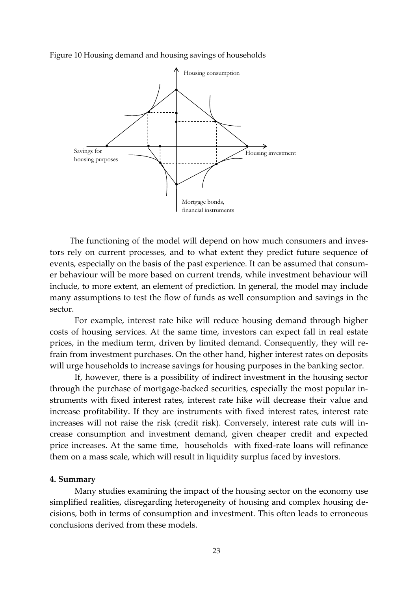Figure 10 Housing demand and housing savings of households



The functioning of the model will depend on how much consumers and investors rely on current processes, and to what extent they predict future sequence of events, especially on the basis of the past experience. It can be assumed that consumer behaviour will be more based on current trends, while investment behaviour will include, to more extent, an element of prediction. In general, the model may include many assumptions to test the flow of funds as well consumption and savings in the sector.

For example, interest rate hike will reduce housing demand through higher costs of housing services. At the same time, investors can expect fall in real estate prices, in the medium term, driven by limited demand. Consequently, they will refrain from investment purchases. On the other hand, higher interest rates on deposits will urge households to increase savings for housing purposes in the banking sector.

If, however, there is a possibility of indirect investment in the housing sector through the purchase of mortgage-backed securities, especially the most popular instruments with fixed interest rates, interest rate hike will decrease their value and increase profitability. If they are instruments with fixed interest rates, interest rate increases will not raise the risk (credit risk). Conversely, interest rate cuts will increase consumption and investment demand, given cheaper credit and expected price increases. At the same time, households with fixed-rate loans will refinance them on a mass scale, which will result in liquidity surplus faced by investors.

#### **4. Summary**

Many studies examining the impact of the housing sector on the economy use simplified realities, disregarding heterogeneity of housing and complex housing decisions, both in terms of consumption and investment. This often leads to erroneous conclusions derived from these models.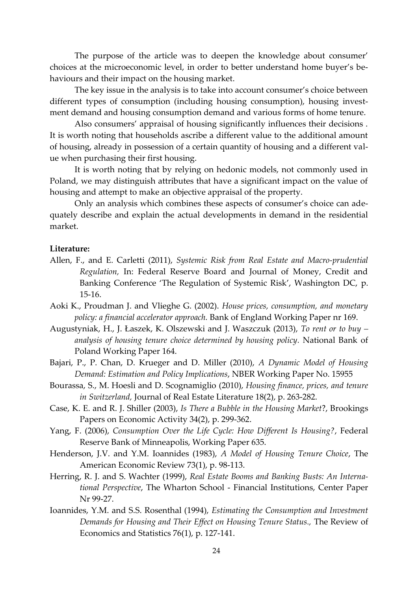The purpose of the article was to deepen the knowledge about consumer' choices at the microeconomic level, in order to better understand home buyer's behaviours and their impact on the housing market.

The key issue in the analysis is to take into account consumer's choice between different types of consumption (including housing consumption), housing investment demand and housing consumption demand and various forms of home tenure.

Also consumers' appraisal of housing significantly influences their decisions . It is worth noting that households ascribe a different value to the additional amount of housing, already in possession of a certain quantity of housing and a different value when purchasing their first housing.

It is worth noting that by relying on hedonic models, not commonly used in Poland, we may distinguish attributes that have a significant impact on the value of housing and attempt to make an objective appraisal of the property.

Only an analysis which combines these aspects of consumer's choice can adequately describe and explain the actual developments in demand in the residential market.

#### **Literature:**

- Allen, F., and E. Carletti (2011), *Systemic Risk from Real Estate and Macro-prudential Regulation,* In: Federal Reserve Board and Journal of Money, Credit and Banking Conference 'The Regulation of Systemic Risk', Washington DC, p. 15-16.
- Aoki K., Proudman J. and Vlieghe G. (2002). *House prices, consumption, and monetary policy: a financial accelerator approach.* Bank of England Working Paper nr 169.
- Augustyniak, H., J. Łaszek, K. Olszewski and J. Waszczuk (2013), *To rent or to buy – analysis of housing tenure choice determined by housing policy.* National Bank of Poland Working Paper 164.
- Bajari, P., P. Chan, D. Krueger and D. Miller (2010), *A Dynamic Model of Housing Demand: Estimation and Policy Implications*, NBER Working Paper No. 15955
- Bourassa, S., M. Hoesli and D. Scognamiglio (2010), *Housing finance, prices, and tenure in Switzerland,* Journal of Real Estate Literature 18(2), p. 263-282.
- Case, K. E. and R. J. Shiller (2003), *Is There a Bubble in the Housing Market*?, Brookings Papers on Economic Activity 34(2), p. 299-362.
- Yang, F. (2006), *Consumption Over the Life Cycle: How Different Is Housing?*, Federal Reserve Bank of Minneapolis, Working Paper 635.
- Henderson, J.V. and Y.M. Ioannides (1983), *A Model of Housing Tenure Choice*, The American Economic Review 73(1), p. 98-113.
- Herring, R. J. and S. Wachter (1999), *Real Estate Booms and Banking Busts: An International Perspective*, The Wharton School - Financial Institutions, Center Paper Nr 99-27.
- Ioannides, Y.M. and S.S. Rosenthal (1994), *Estimating the Consumption and Investment Demands for Housing and Their Effect on Housing Tenure Status.,* The Review of Economics and Statistics 76(1), p. 127-141.